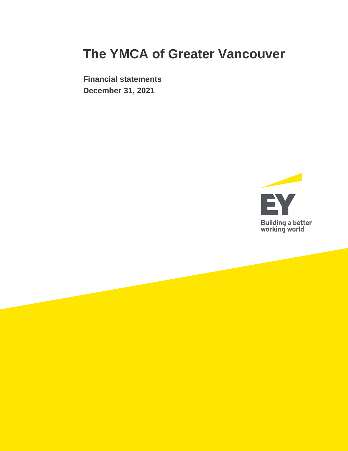**Financial statements December 31, 2021**

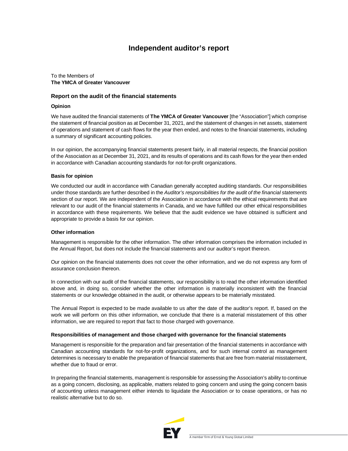### **Independent auditor's report**

To the Members of **The YMCA of Greater Vancouver**

#### **Report on the audit of the financial statements**

#### **Opinion**

We have audited the financial statements of **The YMCA of Greater Vancouver** [the "Association"] which comprise the statement of financial position as at December 31, 2021, and the statement of changes in net assets, statement of operations and statement of cash flows for the year then ended, and notes to the financial statements, including a summary of significant accounting policies.

In our opinion, the accompanying financial statements present fairly, in all material respects, the financial position of the Association as at December 31, 2021, and its results of operations and its cash flows for the year then ended in accordance with Canadian accounting standards for not-for-profit organizations.

#### **Basis for opinion**

We conducted our audit in accordance with Canadian generally accepted auditing standards. Our responsibilities under those standards are further described in the *Auditor's responsibilities for the audit of the financial statements* section of our report. We are independent of the Association in accordance with the ethical requirements that are relevant to our audit of the financial statements in Canada, and we have fulfilled our other ethical responsibilities in accordance with these requirements. We believe that the audit evidence we have obtained is sufficient and appropriate to provide a basis for our opinion.

#### **Other information**

Management is responsible for the other information. The other information comprises the information included in the Annual Report, but does not include the financial statements and our auditor's report thereon.

Our opinion on the financial statements does not cover the other information, and we do not express any form of assurance conclusion thereon.

In connection with our audit of the financial statements, our responsibility is to read the other information identified above and, in doing so, consider whether the other information is materially inconsistent with the financial statements or our knowledge obtained in the audit, or otherwise appears to be materially misstated.

The Annual Report is expected to be made available to us after the date of the auditor's report. If, based on the work we will perform on this other information, we conclude that there is a material misstatement of this other information, we are required to report that fact to those charged with governance.

#### **Responsibilities of management and those charged with governance for the financial statements**

Management is responsible for the preparation and fair presentation of the financial statements in accordance with Canadian accounting standards for not-for-profit organizations, and for such internal control as management determines is necessary to enable the preparation of financial statements that are free from material misstatement, whether due to fraud or error.

In preparing the financial statements, management is responsible for assessing the Association's ability to continue as a going concern, disclosing, as applicable, matters related to going concern and using the going concern basis of accounting unless management either intends to liquidate the Association or to cease operations, or has no realistic alternative but to do so.

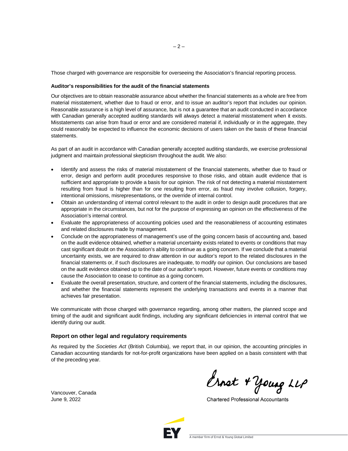Those charged with governance are responsible for overseeing the Association's financial reporting process.

#### **Auditor's responsibilities for the audit of the financial statements**

Our objectives are to obtain reasonable assurance about whether the financial statements as a whole are free from material misstatement, whether due to fraud or error, and to issue an auditor's report that includes our opinion. Reasonable assurance is a high level of assurance, but is not a guarantee that an audit conducted in accordance with Canadian generally accepted auditing standards will always detect a material misstatement when it exists. Misstatements can arise from fraud or error and are considered material if, individually or in the aggregate, they could reasonably be expected to influence the economic decisions of users taken on the basis of these financial statements.

As part of an audit in accordance with Canadian generally accepted auditing standards, we exercise professional judgment and maintain professional skepticism throughout the audit. We also:

- Identify and assess the risks of material misstatement of the financial statements, whether due to fraud or error, design and perform audit procedures responsive to those risks, and obtain audit evidence that is sufficient and appropriate to provide a basis for our opinion. The risk of not detecting a material misstatement resulting from fraud is higher than for one resulting from error, as fraud may involve collusion, forgery, intentional omissions, misrepresentations, or the override of internal control.
- Obtain an understanding of internal control relevant to the audit in order to design audit procedures that are appropriate in the circumstances, but not for the purpose of expressing an opinion on the effectiveness of the Association's internal control.
- Evaluate the appropriateness of accounting policies used and the reasonableness of accounting estimates and related disclosures made by management.
- Conclude on the appropriateness of management's use of the going concern basis of accounting and, based on the audit evidence obtained, whether a material uncertainty exists related to events or conditions that may cast significant doubt on the Association's ability to continue as a going concern. If we conclude that a material uncertainty exists, we are required to draw attention in our auditor's report to the related disclosures in the financial statements or, if such disclosures are inadequate, to modify our opinion. Our conclusions are based on the audit evidence obtained up to the date of our auditor's report. However, future events or conditions may cause the Association to cease to continue as a going concern.
- Evaluate the overall presentation, structure, and content of the financial statements, including the disclosures, and whether the financial statements represent the underlying transactions and events in a manner that achieves fair presentation.

We communicate with those charged with governance regarding, among other matters, the planned scope and timing of the audit and significant audit findings, including any significant deficiencies in internal control that we identify during our audit.

#### **Report on other legal and regulatory requirements**

As required by the *Societies Act* (British Columbia)*,* we report that, in our opinion, the accounting principles in Canadian accounting standards for not-for-profit organizations have been applied on a basis consistent with that of the preceding year.

Vancouver, Canada June 9, 2022

Ernet + Young LLP

**Chartered Professional Accountants** 

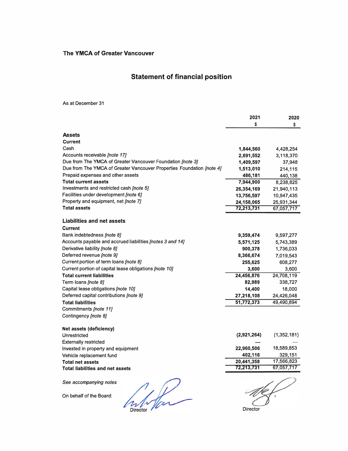# **Statement of financial position**

**As at December 31** 

|                                                                       | 2021                   | 2020                |
|-----------------------------------------------------------------------|------------------------|---------------------|
|                                                                       | £                      | S.                  |
| Assets                                                                |                        |                     |
| <b>Current</b>                                                        |                        |                     |
| Cash                                                                  |                        |                     |
| Accounts receivable [note 17]                                         | 1,844,560              | 4,428,254           |
| Due from The YMCA of Greater Vancouver Foundation [note 3]            | 2,691,552<br>1,409,597 | 3,118,370<br>37,948 |
| Due from The YMCA of Greater Vancouver Properties Foundation [note 4] | 1,513,010              | 214,115             |
| Prepaid expenses and other assets                                     | 486,181                | 440,138             |
| <b>Total current assets</b>                                           | 7,944,900              | 8,238,825           |
| Investments and restricted cash [note 5]                              | 26,354,169             | 21,940,113          |
| Facilities under development [note 6]                                 | 13,756,597             | 10,947,435          |
| Property and equipment, net [note 7]                                  | 24,158,065             | 25,931,344          |
| <b>Total assets</b>                                                   | 72,213,731             | 67,057,717          |
|                                                                       |                        |                     |
| Liabilities and net assets                                            |                        |                     |
| <b>Current</b>                                                        |                        |                     |
| Bank indebtedness [note 8]                                            | 9,359,474              | 9,597,277           |
| Accounts payable and accrued liabilities [notes 3 and 14]             | 5,571,125              | 5,743,389           |
| Derivative liability [note 8]                                         | 900,378                | 1,736,033           |
| Deferred revenue [note 9]                                             | 8,366,674              | 7,019,543           |
| Current portion of term loans [note 8]                                | 255,625                | 608,277             |
| Current portion of capital lease obligations [note 10]                | 3,600                  | 3,600               |
| <b>Total current liabilities</b>                                      | 24,456,876             | 24,708,119          |
| Term loans [note 8]                                                   | 82,989                 | 338,727             |
| Capital lease obligations [note 10]                                   | 14,400                 | 18,000              |
| Deferred capital contributions [note 9]                               | 27,218,108             | 24,426,048          |
| <b>Total liabilities</b>                                              | 51,772,373             | 49,490,894          |
| Commitments [note 11]                                                 |                        |                     |
| Contingency [note 8]                                                  |                        |                     |
|                                                                       |                        |                     |
| Net assets (deficiency)                                               |                        |                     |
| <b>Unrestricted</b>                                                   | (2,921,264)            | (1,352,181)         |
| <b>Externally restricted</b>                                          |                        |                     |
| Invested in property and equipment                                    | 22,960,506             | 18,589,853          |
| Vehicle replacement fund                                              | 402,116                | 329,151             |
| <b>Total net assets</b>                                               | 20,441,358             | 17,566,823          |
| <b>Total liabilities and net assets</b>                               | 72,213,731             | 67,057,717          |
|                                                                       |                        |                     |
| See accompanying notes                                                |                        |                     |
|                                                                       |                        |                     |
| On behalf of the Board:                                               |                        |                     |

Information

Γ,

**Director**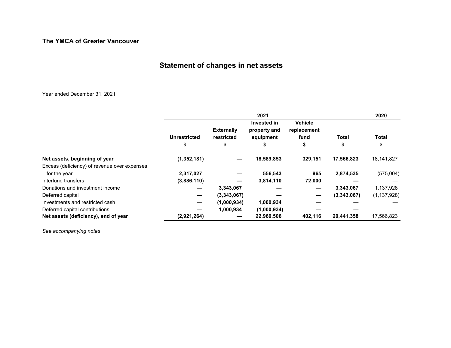# **Statement of changes in net assets**

#### Year ended December 31, 2021

|                                                              |              |                                       | 2021                                          |                                             |                    | 2020               |
|--------------------------------------------------------------|--------------|---------------------------------------|-----------------------------------------------|---------------------------------------------|--------------------|--------------------|
|                                                              | Unrestricted | <b>Externally</b><br>restricted<br>\$ | Invested in<br>property and<br>equipment<br>Я | <b>Vehicle</b><br>replacement<br>fund<br>\$ | <b>Total</b><br>\$ | <b>Total</b><br>\$ |
| Net assets, beginning of year                                | (1,352,181)  |                                       | 18,589,853                                    | 329,151                                     | 17,566,823         | 18,141,827         |
| Excess (deficiency) of revenue over expenses<br>for the year | 2,317,027    |                                       | 556,543                                       | 965                                         | 2,874,535          | (575,004)          |
| Interfund transfers                                          | (3,886,110)  |                                       | 3,814,110                                     | 72,000                                      |                    |                    |
| Donations and investment income                              |              | 3,343,067                             |                                               | –                                           | 3,343,067          | 1,137,928          |
| Deferred capital                                             |              | (3,343,067)                           |                                               |                                             | (3,343,067)        | (1, 137, 928)      |
| Investments and restricted cash                              |              | (1,000,934)                           | 1,000,934                                     |                                             |                    |                    |
| Deferred capital contributions                               |              | 1,000,934                             | (1,000,934)                                   |                                             |                    |                    |
| Net assets (deficiency), end of year                         | (2,921,264)  |                                       | 22,960,506                                    | 402,116                                     | 20,441,358         | 17,566,823         |

*See accompanying notes*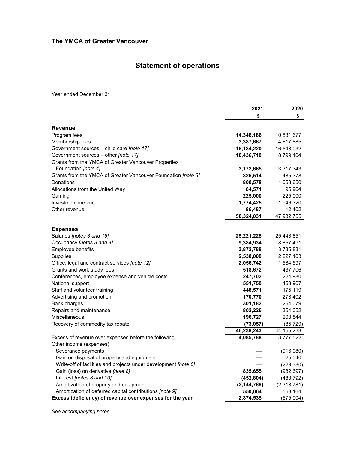# **Statement of operations**

Year ended December 31

| \$<br>\$<br>Revenue<br>Program fees<br>14,346,186<br>10,831,677<br>Membership fees<br>3,387,667<br>4,617,885<br>Government sources – child care [note 17]<br>15,184,220<br>16,543,032<br>Government sources - other [note 17]<br>10,436,718<br>8,799,104<br>Grants from the YMCA of Greater Vancouver Properties<br>Foundation [note 4]<br>3,172,665<br>3,317,343<br>Grants from the YMCA of Greater Vancouver Foundation [note 3]<br>825,514<br>485,378<br>Donations<br>800,578<br>1,058,650<br>Allocations from the United Way<br>84,571<br>95,964<br>225,000<br>225,000<br>Gaming<br>Investment income<br>1,774,425<br>1,946,320<br>12,402<br>Other revenue<br>86,487<br>50,324,031<br>47,932,755<br><b>Expenses</b><br>Salaries [notes 3 and 15]<br>25,221,228<br>25,443,851<br>Occupancy [notes 3 and 4]<br>9,384,934<br>8,857,491<br>Employee benefits<br>3,872,788<br>3,735,831<br>Supplies<br>2,227,103<br>2,538,008<br>Office, legal and contract services [note 12]<br>1,584,597<br>2,056,742<br>Grants and work study fees<br>518,672<br>437,706<br>247,702<br>224,980<br>Conferences, employee expense and vehicle costs<br>551,750<br>National support<br>453,907<br>Staff and volunteer training<br>448,571<br>175,119<br>Advertising and promotion<br>170,770<br>278,402<br>Bank charges<br>301,182<br>264,079<br>Repairs and maintenance<br>802,226<br>354,052<br>Miscellaneous<br>196,727<br>203,844<br>Recovery of commodity tax rebate<br>(73, 057)<br>(85, 729)<br>46,238,243<br>44, 155, 233<br>4,085,788<br>3,777,522<br>Excess of revenue over expenses before the following<br>Other income (expenses)<br>Severance payments<br>(916,080)<br>Gain on disposal of property and equipment<br>25,040<br>Write-off of facilities and projects under development [note 6]<br>(229, 380)<br>Gain (loss) on derivative [note 8]<br>835,655<br>(982, 697)<br>Interest [notes 8 and 10]<br>(452, 804)<br>(483, 792)<br>Amortization of property and equipment<br>(2, 144, 768)<br>(2,318,781) | 2021 | 2020 |
|--------------------------------------------------------------------------------------------------------------------------------------------------------------------------------------------------------------------------------------------------------------------------------------------------------------------------------------------------------------------------------------------------------------------------------------------------------------------------------------------------------------------------------------------------------------------------------------------------------------------------------------------------------------------------------------------------------------------------------------------------------------------------------------------------------------------------------------------------------------------------------------------------------------------------------------------------------------------------------------------------------------------------------------------------------------------------------------------------------------------------------------------------------------------------------------------------------------------------------------------------------------------------------------------------------------------------------------------------------------------------------------------------------------------------------------------------------------------------------------------------------------------------------------------------------------------------------------------------------------------------------------------------------------------------------------------------------------------------------------------------------------------------------------------------------------------------------------------------------------------------------------------------------------------------------------------------------------------------------------------------------------|------|------|
|                                                                                                                                                                                                                                                                                                                                                                                                                                                                                                                                                                                                                                                                                                                                                                                                                                                                                                                                                                                                                                                                                                                                                                                                                                                                                                                                                                                                                                                                                                                                                                                                                                                                                                                                                                                                                                                                                                                                                                                                              |      |      |
|                                                                                                                                                                                                                                                                                                                                                                                                                                                                                                                                                                                                                                                                                                                                                                                                                                                                                                                                                                                                                                                                                                                                                                                                                                                                                                                                                                                                                                                                                                                                                                                                                                                                                                                                                                                                                                                                                                                                                                                                              |      |      |
|                                                                                                                                                                                                                                                                                                                                                                                                                                                                                                                                                                                                                                                                                                                                                                                                                                                                                                                                                                                                                                                                                                                                                                                                                                                                                                                                                                                                                                                                                                                                                                                                                                                                                                                                                                                                                                                                                                                                                                                                              |      |      |
|                                                                                                                                                                                                                                                                                                                                                                                                                                                                                                                                                                                                                                                                                                                                                                                                                                                                                                                                                                                                                                                                                                                                                                                                                                                                                                                                                                                                                                                                                                                                                                                                                                                                                                                                                                                                                                                                                                                                                                                                              |      |      |
|                                                                                                                                                                                                                                                                                                                                                                                                                                                                                                                                                                                                                                                                                                                                                                                                                                                                                                                                                                                                                                                                                                                                                                                                                                                                                                                                                                                                                                                                                                                                                                                                                                                                                                                                                                                                                                                                                                                                                                                                              |      |      |
|                                                                                                                                                                                                                                                                                                                                                                                                                                                                                                                                                                                                                                                                                                                                                                                                                                                                                                                                                                                                                                                                                                                                                                                                                                                                                                                                                                                                                                                                                                                                                                                                                                                                                                                                                                                                                                                                                                                                                                                                              |      |      |
|                                                                                                                                                                                                                                                                                                                                                                                                                                                                                                                                                                                                                                                                                                                                                                                                                                                                                                                                                                                                                                                                                                                                                                                                                                                                                                                                                                                                                                                                                                                                                                                                                                                                                                                                                                                                                                                                                                                                                                                                              |      |      |
|                                                                                                                                                                                                                                                                                                                                                                                                                                                                                                                                                                                                                                                                                                                                                                                                                                                                                                                                                                                                                                                                                                                                                                                                                                                                                                                                                                                                                                                                                                                                                                                                                                                                                                                                                                                                                                                                                                                                                                                                              |      |      |
|                                                                                                                                                                                                                                                                                                                                                                                                                                                                                                                                                                                                                                                                                                                                                                                                                                                                                                                                                                                                                                                                                                                                                                                                                                                                                                                                                                                                                                                                                                                                                                                                                                                                                                                                                                                                                                                                                                                                                                                                              |      |      |
|                                                                                                                                                                                                                                                                                                                                                                                                                                                                                                                                                                                                                                                                                                                                                                                                                                                                                                                                                                                                                                                                                                                                                                                                                                                                                                                                                                                                                                                                                                                                                                                                                                                                                                                                                                                                                                                                                                                                                                                                              |      |      |
|                                                                                                                                                                                                                                                                                                                                                                                                                                                                                                                                                                                                                                                                                                                                                                                                                                                                                                                                                                                                                                                                                                                                                                                                                                                                                                                                                                                                                                                                                                                                                                                                                                                                                                                                                                                                                                                                                                                                                                                                              |      |      |
|                                                                                                                                                                                                                                                                                                                                                                                                                                                                                                                                                                                                                                                                                                                                                                                                                                                                                                                                                                                                                                                                                                                                                                                                                                                                                                                                                                                                                                                                                                                                                                                                                                                                                                                                                                                                                                                                                                                                                                                                              |      |      |
|                                                                                                                                                                                                                                                                                                                                                                                                                                                                                                                                                                                                                                                                                                                                                                                                                                                                                                                                                                                                                                                                                                                                                                                                                                                                                                                                                                                                                                                                                                                                                                                                                                                                                                                                                                                                                                                                                                                                                                                                              |      |      |
|                                                                                                                                                                                                                                                                                                                                                                                                                                                                                                                                                                                                                                                                                                                                                                                                                                                                                                                                                                                                                                                                                                                                                                                                                                                                                                                                                                                                                                                                                                                                                                                                                                                                                                                                                                                                                                                                                                                                                                                                              |      |      |
|                                                                                                                                                                                                                                                                                                                                                                                                                                                                                                                                                                                                                                                                                                                                                                                                                                                                                                                                                                                                                                                                                                                                                                                                                                                                                                                                                                                                                                                                                                                                                                                                                                                                                                                                                                                                                                                                                                                                                                                                              |      |      |
|                                                                                                                                                                                                                                                                                                                                                                                                                                                                                                                                                                                                                                                                                                                                                                                                                                                                                                                                                                                                                                                                                                                                                                                                                                                                                                                                                                                                                                                                                                                                                                                                                                                                                                                                                                                                                                                                                                                                                                                                              |      |      |
|                                                                                                                                                                                                                                                                                                                                                                                                                                                                                                                                                                                                                                                                                                                                                                                                                                                                                                                                                                                                                                                                                                                                                                                                                                                                                                                                                                                                                                                                                                                                                                                                                                                                                                                                                                                                                                                                                                                                                                                                              |      |      |
|                                                                                                                                                                                                                                                                                                                                                                                                                                                                                                                                                                                                                                                                                                                                                                                                                                                                                                                                                                                                                                                                                                                                                                                                                                                                                                                                                                                                                                                                                                                                                                                                                                                                                                                                                                                                                                                                                                                                                                                                              |      |      |
|                                                                                                                                                                                                                                                                                                                                                                                                                                                                                                                                                                                                                                                                                                                                                                                                                                                                                                                                                                                                                                                                                                                                                                                                                                                                                                                                                                                                                                                                                                                                                                                                                                                                                                                                                                                                                                                                                                                                                                                                              |      |      |
|                                                                                                                                                                                                                                                                                                                                                                                                                                                                                                                                                                                                                                                                                                                                                                                                                                                                                                                                                                                                                                                                                                                                                                                                                                                                                                                                                                                                                                                                                                                                                                                                                                                                                                                                                                                                                                                                                                                                                                                                              |      |      |
|                                                                                                                                                                                                                                                                                                                                                                                                                                                                                                                                                                                                                                                                                                                                                                                                                                                                                                                                                                                                                                                                                                                                                                                                                                                                                                                                                                                                                                                                                                                                                                                                                                                                                                                                                                                                                                                                                                                                                                                                              |      |      |
|                                                                                                                                                                                                                                                                                                                                                                                                                                                                                                                                                                                                                                                                                                                                                                                                                                                                                                                                                                                                                                                                                                                                                                                                                                                                                                                                                                                                                                                                                                                                                                                                                                                                                                                                                                                                                                                                                                                                                                                                              |      |      |
|                                                                                                                                                                                                                                                                                                                                                                                                                                                                                                                                                                                                                                                                                                                                                                                                                                                                                                                                                                                                                                                                                                                                                                                                                                                                                                                                                                                                                                                                                                                                                                                                                                                                                                                                                                                                                                                                                                                                                                                                              |      |      |
|                                                                                                                                                                                                                                                                                                                                                                                                                                                                                                                                                                                                                                                                                                                                                                                                                                                                                                                                                                                                                                                                                                                                                                                                                                                                                                                                                                                                                                                                                                                                                                                                                                                                                                                                                                                                                                                                                                                                                                                                              |      |      |
|                                                                                                                                                                                                                                                                                                                                                                                                                                                                                                                                                                                                                                                                                                                                                                                                                                                                                                                                                                                                                                                                                                                                                                                                                                                                                                                                                                                                                                                                                                                                                                                                                                                                                                                                                                                                                                                                                                                                                                                                              |      |      |
|                                                                                                                                                                                                                                                                                                                                                                                                                                                                                                                                                                                                                                                                                                                                                                                                                                                                                                                                                                                                                                                                                                                                                                                                                                                                                                                                                                                                                                                                                                                                                                                                                                                                                                                                                                                                                                                                                                                                                                                                              |      |      |
|                                                                                                                                                                                                                                                                                                                                                                                                                                                                                                                                                                                                                                                                                                                                                                                                                                                                                                                                                                                                                                                                                                                                                                                                                                                                                                                                                                                                                                                                                                                                                                                                                                                                                                                                                                                                                                                                                                                                                                                                              |      |      |
|                                                                                                                                                                                                                                                                                                                                                                                                                                                                                                                                                                                                                                                                                                                                                                                                                                                                                                                                                                                                                                                                                                                                                                                                                                                                                                                                                                                                                                                                                                                                                                                                                                                                                                                                                                                                                                                                                                                                                                                                              |      |      |
|                                                                                                                                                                                                                                                                                                                                                                                                                                                                                                                                                                                                                                                                                                                                                                                                                                                                                                                                                                                                                                                                                                                                                                                                                                                                                                                                                                                                                                                                                                                                                                                                                                                                                                                                                                                                                                                                                                                                                                                                              |      |      |
|                                                                                                                                                                                                                                                                                                                                                                                                                                                                                                                                                                                                                                                                                                                                                                                                                                                                                                                                                                                                                                                                                                                                                                                                                                                                                                                                                                                                                                                                                                                                                                                                                                                                                                                                                                                                                                                                                                                                                                                                              |      |      |
|                                                                                                                                                                                                                                                                                                                                                                                                                                                                                                                                                                                                                                                                                                                                                                                                                                                                                                                                                                                                                                                                                                                                                                                                                                                                                                                                                                                                                                                                                                                                                                                                                                                                                                                                                                                                                                                                                                                                                                                                              |      |      |
|                                                                                                                                                                                                                                                                                                                                                                                                                                                                                                                                                                                                                                                                                                                                                                                                                                                                                                                                                                                                                                                                                                                                                                                                                                                                                                                                                                                                                                                                                                                                                                                                                                                                                                                                                                                                                                                                                                                                                                                                              |      |      |
|                                                                                                                                                                                                                                                                                                                                                                                                                                                                                                                                                                                                                                                                                                                                                                                                                                                                                                                                                                                                                                                                                                                                                                                                                                                                                                                                                                                                                                                                                                                                                                                                                                                                                                                                                                                                                                                                                                                                                                                                              |      |      |
|                                                                                                                                                                                                                                                                                                                                                                                                                                                                                                                                                                                                                                                                                                                                                                                                                                                                                                                                                                                                                                                                                                                                                                                                                                                                                                                                                                                                                                                                                                                                                                                                                                                                                                                                                                                                                                                                                                                                                                                                              |      |      |
|                                                                                                                                                                                                                                                                                                                                                                                                                                                                                                                                                                                                                                                                                                                                                                                                                                                                                                                                                                                                                                                                                                                                                                                                                                                                                                                                                                                                                                                                                                                                                                                                                                                                                                                                                                                                                                                                                                                                                                                                              |      |      |
|                                                                                                                                                                                                                                                                                                                                                                                                                                                                                                                                                                                                                                                                                                                                                                                                                                                                                                                                                                                                                                                                                                                                                                                                                                                                                                                                                                                                                                                                                                                                                                                                                                                                                                                                                                                                                                                                                                                                                                                                              |      |      |
|                                                                                                                                                                                                                                                                                                                                                                                                                                                                                                                                                                                                                                                                                                                                                                                                                                                                                                                                                                                                                                                                                                                                                                                                                                                                                                                                                                                                                                                                                                                                                                                                                                                                                                                                                                                                                                                                                                                                                                                                              |      |      |
|                                                                                                                                                                                                                                                                                                                                                                                                                                                                                                                                                                                                                                                                                                                                                                                                                                                                                                                                                                                                                                                                                                                                                                                                                                                                                                                                                                                                                                                                                                                                                                                                                                                                                                                                                                                                                                                                                                                                                                                                              |      |      |
|                                                                                                                                                                                                                                                                                                                                                                                                                                                                                                                                                                                                                                                                                                                                                                                                                                                                                                                                                                                                                                                                                                                                                                                                                                                                                                                                                                                                                                                                                                                                                                                                                                                                                                                                                                                                                                                                                                                                                                                                              |      |      |
| Amortization of deferred capital contributions [note 9]<br>553,164<br>550,664                                                                                                                                                                                                                                                                                                                                                                                                                                                                                                                                                                                                                                                                                                                                                                                                                                                                                                                                                                                                                                                                                                                                                                                                                                                                                                                                                                                                                                                                                                                                                                                                                                                                                                                                                                                                                                                                                                                                |      |      |
| Excess (deficiency) of revenue over expenses for the year<br>2,874,535<br>(575,004)                                                                                                                                                                                                                                                                                                                                                                                                                                                                                                                                                                                                                                                                                                                                                                                                                                                                                                                                                                                                                                                                                                                                                                                                                                                                                                                                                                                                                                                                                                                                                                                                                                                                                                                                                                                                                                                                                                                          |      |      |

*See accompanying notes*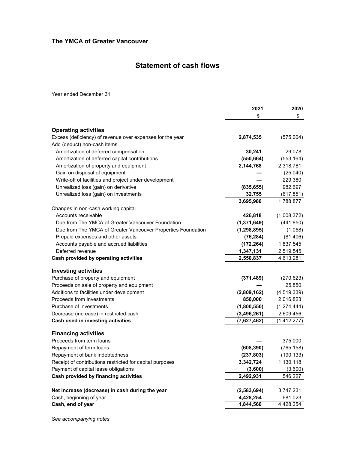# **Statement of cash flows**

Year ended December 31

|                                                              | 2021          | 2020          |
|--------------------------------------------------------------|---------------|---------------|
|                                                              | \$            | \$            |
| <b>Operating activities</b>                                  |               |               |
| Excess (deficiency) of revenue over expenses for the year    | 2,874,535     | (575,004)     |
| Add (deduct) non-cash items                                  |               |               |
| Amortization of deferred compensation                        | 30,241        | 29,078        |
| Amortization of deferred capital contributions               | (550, 664)    | (553, 164)    |
| Amortization of property and equipment                       | 2,144,768     | 2,318,781     |
| Gain on disposal of equipment                                |               | (25,040)      |
| Write-off of facilities and project under development        |               | 229,380       |
| Unrealized loss (gain) on derivative                         | (835, 655)    | 982,697       |
| Unrealized loss (gain) on investments                        | 32,755        | (617, 851)    |
|                                                              | 3,695,980     | 1,788,877     |
| Changes in non-cash working capital                          |               |               |
| Accounts receivable                                          | 426,818       | (1,008,372)   |
| Due from The YMCA of Greater Vancouver Foundation            | (1, 371, 649) | (441, 850)    |
| Due from The YMCA of Greater Vancouver Properties Foundation | (1, 298, 895) | (1,058)       |
| Prepaid expenses and other assets                            | (76, 284)     | (81, 406)     |
| Accounts payable and accrued liabilities                     | (172, 264)    | 1,837,545     |
| Deferred revenue                                             | 1,347,131     | 2,519,545     |
| Cash provided by operating activities                        | 2,550,837     | 4,613,281     |
| <b>Investing activities</b>                                  |               |               |
| Purchase of property and equipment                           | (371, 489)    | (270, 623)    |
| Proceeds on sale of property and equipment                   |               | 25,850        |
| Additions to facilities under development                    | (2,809,162)   | (4, 519, 339) |
| Proceeds from Investments                                    | 850,000       | 2,016,823     |
| Purchase of investments                                      | (1,800,550)   | (1, 274, 444) |
| Decrease (increase) in restricted cash                       | (3, 496, 261) | 2,609,456     |
| Cash used in investing activities                            | (7,627,462)   | (1,412,277)   |
| <b>Financing activities</b>                                  |               |               |
| Proceeds from term loans                                     |               | 375,000       |
| Repayment of term loans                                      | (608, 390)    | (765, 158)    |
| Repayment of bank indebtedness                               | (237, 803)    | (190, 133)    |
| Receipt of contributions restricted for capital purposes     | 3,342,724     | 1,130,118     |
| Payment of capital lease obligations                         | (3,600)       | (3,600)       |
| Cash provided by financing activities                        | 2,492,931     | 546,227       |
| Net increase (decrease) in cash during the year              | (2,583,694)   | 3,747,231     |
| Cash, beginning of year                                      | 4,428,254     | 681,023       |
| Cash, end of year                                            | 1,844,560     | 4,428,254     |
|                                                              |               |               |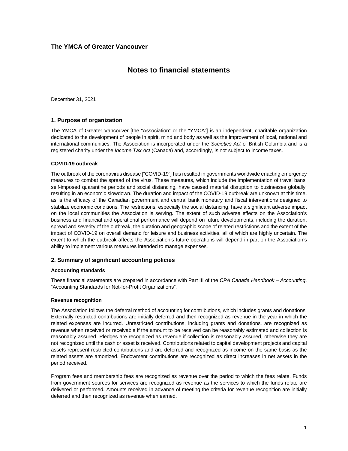### **Notes to financial statements**

December 31, 2021

#### **1. Purpose of organization**

The YMCA of Greater Vancouver [the "Association" or the "YMCA"] is an independent, charitable organization dedicated to the development of people in spirit, mind and body as well as the improvement of local, national and international communities. The Association is incorporated under the *Societies Act* of British Columbia and is a registered charity under the *Income Tax Act* (Canada) and, accordingly, is not subject to income taxes.

#### **COVID-19 outbreak**

The outbreak of the coronavirus disease ["COVID-19"] has resulted in governments worldwide enacting emergency measures to combat the spread of the virus. These measures, which include the implementation of travel bans, self-imposed quarantine periods and social distancing, have caused material disruption to businesses globally, resulting in an economic slowdown. The duration and impact of the COVID-19 outbreak are unknown at this time, as is the efficacy of the Canadian government and central bank monetary and fiscal interventions designed to stabilize economic conditions. The restrictions, especially the social distancing, have a significant adverse impact on the local communities the Association is serving. The extent of such adverse effects on the Association's business and financial and operational performance will depend on future developments, including the duration, spread and severity of the outbreak, the duration and geographic scope of related restrictions and the extent of the impact of COVID-19 on overall demand for leisure and business activities, all of which are highly uncertain. The extent to which the outbreak affects the Association's future operations will depend in part on the Association's ability to implement various measures intended to manage expenses.

#### **2. Summary of significant accounting policies**

#### **Accounting standards**

These financial statements are prepared in accordance with Part III of the *CPA Canada Handbook – Accounting*, "Accounting Standards for Not-for-Profit Organizations".

#### **Revenue recognition**

The Association follows the deferral method of accounting for contributions, which includes grants and donations. Externally restricted contributions are initially deferred and then recognized as revenue in the year in which the related expenses are incurred. Unrestricted contributions, including grants and donations, are recognized as revenue when received or receivable if the amount to be received can be reasonably estimated and collection is reasonably assured. Pledges are recognized as revenue if collection is reasonably assured, otherwise they are not recognized until the cash or asset is received. Contributions related to capital development projects and capital assets represent restricted contributions and are deferred and recognized as income on the same basis as the related assets are amortized. Endowment contributions are recognized as direct increases in net assets in the period received.

Program fees and membership fees are recognized as revenue over the period to which the fees relate. Funds from government sources for services are recognized as revenue as the services to which the funds relate are delivered or performed. Amounts received in advance of meeting the criteria for revenue recognition are initially deferred and then recognized as revenue when earned.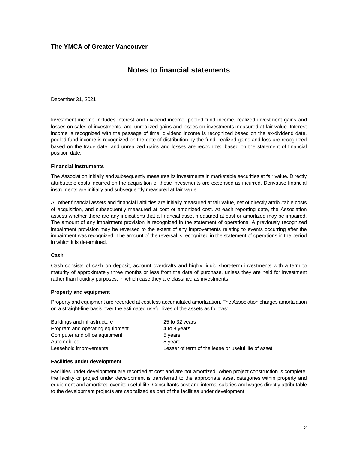### **Notes to financial statements**

December 31, 2021

Investment income includes interest and dividend income, pooled fund income, realized investment gains and losses on sales of investments, and unrealized gains and losses on investments measured at fair value. Interest income is recognized with the passage of time, dividend income is recognized based on the ex-dividend date, pooled fund income is recognized on the date of distribution by the fund, realized gains and loss are recognized based on the trade date, and unrealized gains and losses are recognized based on the statement of financial position date.

#### **Financial instruments**

The Association initially and subsequently measures its investments in marketable securities at fair value. Directly attributable costs incurred on the acquisition of those investments are expensed as incurred. Derivative financial instruments are initially and subsequently measured at fair value.

All other financial assets and financial liabilities are initially measured at fair value, net of directly attributable costs of acquisition, and subsequently measured at cost or amortized cost. At each reporting date, the Association assess whether there are any indications that a financial asset measured at cost or amortized may be impaired. The amount of any impairment provision is recognized in the statement of operations. A previously recognized impairment provision may be reversed to the extent of any improvements relating to events occurring after the impairment was recognized. The amount of the reversal is recognized in the statement of operations in the period in which it is determined.

#### **Cash**

Cash consists of cash on deposit, account overdrafts and highly liquid short-term investments with a term to maturity of approximately three months or less from the date of purchase, unless they are held for investment rather than liquidity purposes, in which case they are classified as investments.

#### **Property and equipment**

Property and equipment are recorded at cost less accumulated amortization. The Association charges amortization on a straight-line basis over the estimated useful lives of the assets as follows:

| Buildings and infrastructure    | 25 to 32 years                                      |
|---------------------------------|-----------------------------------------------------|
| Program and operating equipment | 4 to 8 years                                        |
| Computer and office equipment   | 5 years                                             |
| Automobiles                     | 5 years                                             |
| Leasehold improvements          | Lesser of term of the lease or useful life of asset |

#### **Facilities under development**

Facilities under development are recorded at cost and are not amortized. When project construction is complete, the facility or project under development is transferred to the appropriate asset categories within property and equipment and amortized over its useful life. Consultants cost and internal salaries and wages directly attributable to the development projects are capitalized as part of the facilities under development.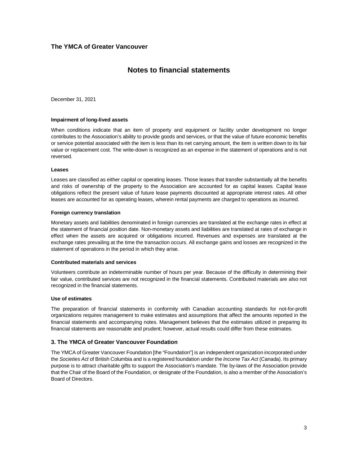### **Notes to financial statements**

December 31, 2021

#### **Impairment of long-lived assets**

When conditions indicate that an item of property and equipment or facility under development no longer contributes to the Association's ability to provide goods and services, or that the value of future economic benefits or service potential associated with the item is less than its net carrying amount, the item is written down to its fair value or replacement cost. The write-down is recognized as an expense in the statement of operations and is not reversed.

#### **Leases**

Leases are classified as either capital or operating leases. Those leases that transfer substantially all the benefits and risks of ownership of the property to the Association are accounted for as capital leases. Capital lease obligations reflect the present value of future lease payments discounted at appropriate interest rates. All other leases are accounted for as operating leases, wherein rental payments are charged to operations as incurred.

#### **Foreign currency translation**

Monetary assets and liabilities denominated in foreign currencies are translated at the exchange rates in effect at the statement of financial position date. Non-monetary assets and liabilities are translated at rates of exchange in effect when the assets are acquired or obligations incurred. Revenues and expenses are translated at the exchange rates prevailing at the time the transaction occurs. All exchange gains and losses are recognized in the statement of operations in the period in which they arise.

#### **Contributed materials and services**

Volunteers contribute an indeterminable number of hours per year. Because of the difficulty in determining their fair value, contributed services are not recognized in the financial statements. Contributed materials are also not recognized in the financial statements.

#### **Use of estimates**

The preparation of financial statements in conformity with Canadian accounting standards for not-for-profit organizations requires management to make estimates and assumptions that affect the amounts reported in the financial statements and accompanying notes. Management believes that the estimates utilized in preparing its financial statements are reasonable and prudent; however, actual results could differ from these estimates.

#### **3. The YMCA of Greater Vancouver Foundation**

The YMCA of Greater Vancouver Foundation [the "Foundation"] is an independent organization incorporated under the *Societies Act* of British Columbia and is a registered foundation under the *Income Tax Act* (Canada). Its primary purpose is to attract charitable gifts to support the Association's mandate. The by-laws of the Association provide that the Chair of the Board of the Foundation, or designate of the Foundation, is also a member of the Association's Board of Directors.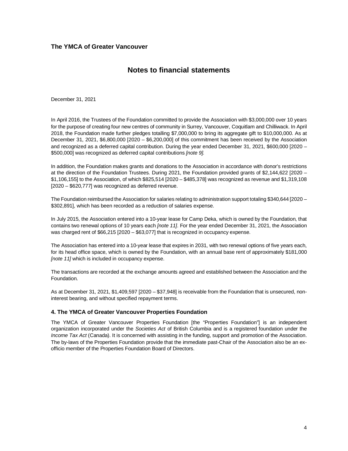### **Notes to financial statements**

December 31, 2021

In April 2016, the Trustees of the Foundation committed to provide the Association with \$3,000,000 over 10 years for the purpose of creating four new centres of community in Surrey, Vancouver, Coquitlam and Chilliwack. In April 2018, the Foundation made further pledges totalling \$7,000,000 to bring its aggregate gift to \$10,000,000. As at December 31, 2021, \$6,800,000 [2020 – \$6,200,000] of this commitment has been received by the Association and recognized as a deferred capital contribution. During the year ended December 31, 2021, \$600,000 [2020 – \$500,000] was recognized as deferred capital contributions *[note 9].*

In addition, the Foundation makes grants and donations to the Association in accordance with donor's restrictions at the direction of the Foundation Trustees. During 2021, the Foundation provided grants of \$2,144,622 [2020 – \$1,106,155] to the Association, of which \$825,514 [2020 – \$485,378] was recognized as revenue and \$1,319,108 [2020 – \$620,777] was recognized as deferred revenue.

The Foundation reimbursed the Association for salaries relating to administration support totaling \$340,644 [2020 – \$302,891], which has been recorded as a reduction of salaries expense.

In July 2015, the Association entered into a 10-year lease for Camp Deka, which is owned by the Foundation, that contains two renewal options of 10 years each *[note 11]*. For the year ended December 31, 2021, the Association was charged rent of \$66,215 [2020 – \$63,077] that is recognized in occupancy expense.

The Association has entered into a 10-year lease that expires in 2031, with two renewal options of five years each, for its head office space, which is owned by the Foundation, with an annual base rent of approximately \$181,000 *[note 11]* which is included in occupancy expense.

The transactions are recorded at the exchange amounts agreed and established between the Association and the Foundation.

As at December 31, 2021, \$1,409,597 [2020 – \$37,948] is receivable from the Foundation that is unsecured, noninterest bearing, and without specified repayment terms.

#### **4. The YMCA of Greater Vancouver Properties Foundation**

The YMCA of Greater Vancouver Properties Foundation [the "Properties Foundation"] is an independent organization incorporated under the *Societies Act* of British Columbia and is a registered foundation under the *Income Tax Act* (Canada). It is concerned with assisting in the funding, support and promotion of the Association. The by-laws of the Properties Foundation provide that the immediate past-Chair of the Association also be an exofficio member of the Properties Foundation Board of Directors.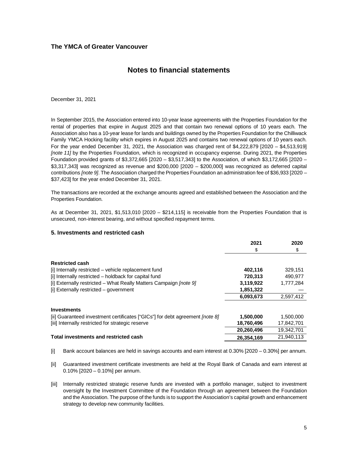### **Notes to financial statements**

December 31, 2021

In September 2015, the Association entered into 10-year lease agreements with the Properties Foundation for the rental of properties that expire in August 2025 and that contain two renewal options of 10 years each. The Association also has a 10-year lease for lands and buildings owned by the Properties Foundation for the Chilliwack Family YMCA Hocking facility which expires in August 2025 and contains two renewal options of 10 years each. For the year ended December 31, 2021, the Association was charged rent of \$4,222,879 [2020 – \$4,513,919] *[note 11]* by the Properties Foundation, which is recognized in occupancy expense. During 2021, the Properties Foundation provided grants of \$3,372,665 [2020 – \$3,517,343] to the Association, of which \$3,172,665 [2020 – \$3,317,343] was recognized as revenue and \$200,000 [2020 – \$200,000] was recognized as deferred capital contributions *[note 9]*. The Association charged the Properties Foundation an administration fee of \$36,933 [2020 – \$37,423] for the year ended December 31, 2021.

The transactions are recorded at the exchange amounts agreed and established between the Association and the Properties Foundation.

As at December 31, 2021, \$1,513,010 [2020 – \$214,115] is receivable from the Properties Foundation that is unsecured, non-interest bearing, and without specified repayment terms.

#### **5. Investments and restricted cash**

|                                                                                     | 2021       | 2020       |
|-------------------------------------------------------------------------------------|------------|------------|
|                                                                                     | \$         | \$         |
| <b>Restricted cash</b>                                                              |            |            |
| [i] Internally restricted – vehicle replacement fund                                | 402,116    | 329,151    |
| [i] Internally restricted – holdback for capital fund                               | 720.313    | 490.977    |
| [i] Externally restricted – What Really Matters Campaign <i>[note 9]</i>            | 3,119,922  | 1,777,284  |
| [i] Externally restricted – government                                              | 1,851,322  |            |
|                                                                                     | 6,093,673  | 2,597,412  |
| <b>Investments</b>                                                                  |            |            |
| [ii] Guaranteed investment certificates ["GICs"] for debt agreement <i>[note 8]</i> | 1,500,000  | 1,500,000  |
| [iii] Internally restricted for strategic reserve                                   | 18,760,496 | 17,842,701 |
|                                                                                     | 20,260,496 | 19,342,701 |
| <b>Total investments and restricted cash</b>                                        | 26,354,169 | 21,940,113 |

- [i] Bank account balances are held in savings accounts and earn interest at 0.30% [2020 0.30%] per annum.
- [ii] Guaranteed investment certificate investments are held at the Royal Bank of Canada and earn interest at 0.10% [2020 – 0.10%] per annum.
- [iii] Internally restricted strategic reserve funds are invested with a portfolio manager, subject to investment oversight by the Investment Committee of the Foundation through an agreement between the Foundation and the Association. The purpose of the funds is to support the Association's capital growth and enhancement strategy to develop new community facilities.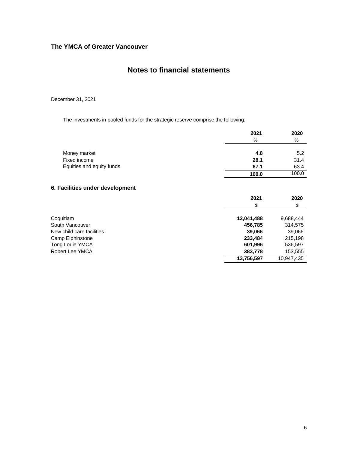# **Notes to financial statements**

### December 31, 2021

The investments in pooled funds for the strategic reserve comprise the following:

|                           | 2021  | 2020  |
|---------------------------|-------|-------|
|                           | $\%$  | %     |
|                           |       |       |
| Money market              | 4.8   | 5.2   |
| Fixed income              | 28.1  | 31.4  |
| Equities and equity funds | 67.1  | 63.4  |
|                           | 100.0 | 100.0 |

### **6. Facilities under development**

|                           | 2021       | 2020       |
|---------------------------|------------|------------|
|                           | \$         | \$         |
| Coquitlam                 | 12,041,488 | 9,688,444  |
| South Vancouver           | 456.785    | 314,575    |
| New child care facilities | 39,066     | 39,066     |
| Camp Elphinstone          | 233,484    | 215,198    |
| Tong Louie YMCA           | 601,996    | 536,597    |
| Robert Lee YMCA           | 383,778    | 153,555    |
|                           | 13,756,597 | 10,947,435 |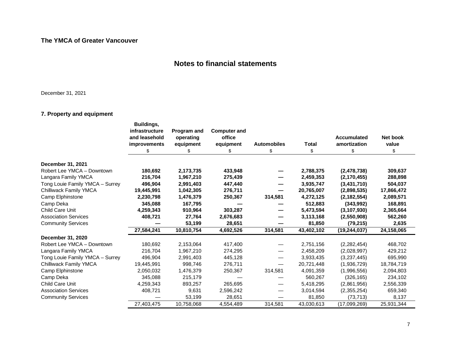December 31, 2021

### **7. Property and equipment**

|                                 | Buildings,<br>infrastructure<br>and leasehold<br>improvements<br>\$ | Program and<br>operating<br>equipment<br>\$ | <b>Computer and</b><br>office<br>equipment<br>\$ | <b>Automobiles</b><br>\$ | <b>Total</b><br>\$ | <b>Accumulated</b><br>amortization<br>\$ | Net book<br>value<br>\$ |  |
|---------------------------------|---------------------------------------------------------------------|---------------------------------------------|--------------------------------------------------|--------------------------|--------------------|------------------------------------------|-------------------------|--|
| December 31, 2021               |                                                                     |                                             |                                                  |                          |                    |                                          |                         |  |
| Robert Lee YMCA - Downtown      | 180,692                                                             | 2,173,735                                   | 433,948                                          |                          | 2,788,375          | (2,478,738)                              | 309,637                 |  |
| Langara Family YMCA             | 216,704                                                             | 1,967,210                                   | 275,439                                          |                          | 2,459,353          | (2, 170, 455)                            | 288,898                 |  |
| Tong Louie Family YMCA - Surrey | 496,904                                                             | 2,991,403                                   | 447,440                                          |                          | 3,935,747          | (3,431,710)                              | 504,037                 |  |
| Chilliwack Family YMCA          | 19,445,991                                                          | 1,042,305                                   | 276,711                                          |                          | 20,765,007         | (2,898,535)                              | 17,866,472              |  |
| Camp Elphinstone                | 2,230,798                                                           | 1,476,379                                   | 250,367                                          | 314,581                  | 4,272,125          | (2, 182, 554)                            | 2,089,571               |  |
| Camp Deka                       | 345,088                                                             | 167,795                                     |                                                  |                          | 512,883            | (343,992)                                | 168,891                 |  |
| Child Care Unit                 | 4,259,343                                                           | 910,964                                     | 303,287                                          |                          | 5,473,594          | (3, 107, 930)                            | 2,365,664               |  |
| <b>Association Services</b>     | 408,721                                                             | 27,764                                      | 2,676,683                                        |                          | 3,113,168          | (2,550,908)                              | 562,260                 |  |
| <b>Community Services</b>       |                                                                     | 53,199                                      | 28,651                                           |                          | 81,850             | (79, 215)                                | 2,635                   |  |
|                                 | 27,584,241                                                          | 10,810,754                                  | 4,692,526                                        | 314,581                  | 43,402,102         | (19, 244, 037)                           | 24,158,065              |  |
| December 31, 2020               |                                                                     |                                             |                                                  |                          |                    |                                          |                         |  |
| Robert Lee YMCA - Downtown      | 180,692                                                             | 2,153,064                                   | 417,400                                          |                          | 2,751,156          | (2,282,454)                              | 468,702                 |  |
| Langara Family YMCA             | 216,704                                                             | 1,967,210                                   | 274,295                                          | —                        | 2,458,209          | (2,028,997)                              | 429,212                 |  |
| Tong Louie Family YMCA - Surrey | 496,904                                                             | 2,991,403                                   | 445,128                                          |                          | 3,933,435          | (3,237,445)                              | 695,990                 |  |
| <b>Chilliwack Family YMCA</b>   | 19,445,991                                                          | 998,746                                     | 276,711                                          |                          | 20,721,448         | (1,936,729)                              | 18,784,719              |  |
| Camp Elphinstone                | 2,050,032                                                           | 1,476,379                                   | 250,367                                          | 314,581                  | 4,091,359          | (1,996,556)                              | 2,094,803               |  |
| Camp Deka                       | 345,088                                                             | 215,179                                     |                                                  |                          | 560,267            | (326, 165)                               | 234,102                 |  |
| Child Care Unit                 | 4,259,343                                                           | 893,257                                     | 265,695                                          |                          | 5,418,295          | (2,861,956)                              | 2,556,339               |  |
| <b>Association Services</b>     | 408,721                                                             | 9,631                                       | 2,596,242                                        |                          | 3,014,594          | (2,355,254)                              | 659,340                 |  |
| <b>Community Services</b>       |                                                                     | 53,199                                      | 28,651                                           |                          | 81,850             | (73, 713)                                | 8,137                   |  |
|                                 | 27,403,475                                                          | 10,758,068                                  | 4,554,489                                        | 314,581                  | 43,030,613         | (17,099,269)                             | 25,931,344              |  |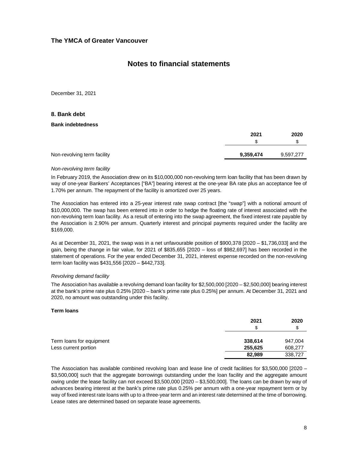December 31, 2021

#### **8. Bank debt**

#### **Bank indebtedness**

|                             | 2021      | 2020      |
|-----------------------------|-----------|-----------|
|                             |           |           |
|                             |           |           |
| Non-revolving term facility | 9,359,474 | 9,597,277 |

#### *Non-revolving term facility*

In February 2019, the Association drew on its \$10,000,000 non-revolving term loan facility that has been drawn by way of one-year Bankers' Acceptances ["BA"] bearing interest at the one-year BA rate plus an acceptance fee of 1.70% per annum. The repayment of the facility is amortized over 25 years.

The Association has entered into a 25-year interest rate swap contract [the "swap"] with a notional amount of \$10,000,000. The swap has been entered into in order to hedge the floating rate of interest associated with the non-revolving term loan facility. As a result of entering into the swap agreement, the fixed interest rate payable by the Association is 2.90% per annum. Quarterly interest and principal payments required under the facility are \$169,000.

As at December 31, 2021, the swap was in a net unfavourable position of \$900,378 [2020 – \$1,736,033] and the gain, being the change in fair value, for 2021 of \$835,655 [2020 – loss of \$982,697] has been recorded in the statement of operations. For the year ended December 31, 2021, interest expense recorded on the non-revolving term loan facility was \$431,556 [2020 – \$442,733].

#### *Revolving demand facility*

The Association has available a revolving demand loan facility for \$2,500,000 [2020 – \$2,500,000] bearing interest at the bank's prime rate plus 0.25% [2020 – bank's prime rate plus 0.25%] per annum. At December 31, 2021 and 2020, no amount was outstanding under this facility.

#### **Term loans**

|                          | 2021    | 2020    |
|--------------------------|---------|---------|
|                          | \$.     | \$      |
| Term loans for equipment | 338,614 | 947,004 |
| Less current portion     | 255,625 | 608,277 |
|                          | 82,989  | 338,727 |

The Association has available combined revolving loan and lease line of credit facilities for \$3,500,000 [2020 – \$3,500,000] such that the aggregate borrowings outstanding under the loan facility and the aggregate amount owing under the lease facility can not exceed \$3,500,000 [2020 – \$3,500,000]. The loans can be drawn by way of advances bearing interest at the bank's prime rate plus 0.25% per annum with a one-year repayment term or by way of fixed interest rate loans with up to a three-year term and an interest rate determined at the time of borrowing. Lease rates are determined based on separate lease agreements.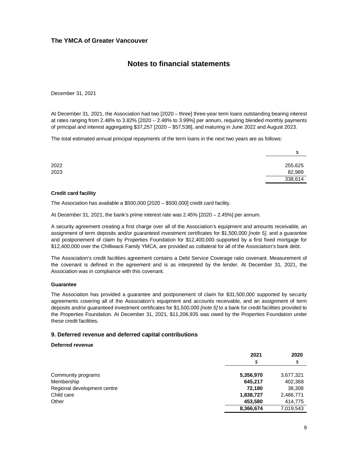December 31, 2021

At December 31, 2021, the Association had two [2020 – three] three-year term loans outstanding bearing interest at rates ranging from 2.48% to 3.82% [2020 – 2.48% to 3.99%] per annum, requiring blended monthly payments of principal and interest aggregating \$37,257 [2020 – \$57,538], and maturing in June 2022 and August 2023.

The total estimated annual principal repayments of the term loans in the next two years are as follows:

|      | J       |
|------|---------|
|      |         |
| 2022 | 255,625 |
| 2023 | 82,989  |
|      | 338,614 |

#### **Credit card facility**

The Association has available a \$500,000 [2020 – \$500,000] credit card facility.

At December 31, 2021, the bank's prime interest rate was 2.45% [2020 – 2.45%] per annum.

A security agreement creating a first charge over all of the Association's equipment and amounts receivable, an assignment of term deposits and/or guaranteed investment certificates for \$1,500,000 *[note 5]*, and a guarantee and postponement of claim by Properties Foundation for \$12,400,000 supported by a first fixed mortgage for \$12,400,000 over the Chilliwack Family YMCA, are provided as collateral for all of the Association's bank debt.

The Association's credit facilities agreement contains a Debt Service Coverage ratio covenant. Measurement of the covenant is defined in the agreement and is as interpreted by the lender. At December 31, 2021, the Association was in compliance with this covenant.

#### **Guarantee**

The Association has provided a guarantee and postponement of claim for \$31,500,000 supported by security agreements covering all of the Association's equipment and accounts receivable, and an assignment of term deposits and/or guaranteed investment certificates for \$1,500,000 *[note 5]* to a bank for credit facilities provided to the Properties Foundation. At December 31, 2021, \$11,206,935 was owed by the Properties Foundation under these credit facilities.

#### **9. Deferred revenue and deferred capital contributions**

#### **Deferred revenue**

|                             | 2021      | 2020      |
|-----------------------------|-----------|-----------|
|                             | \$        | \$        |
| Community programs          | 5,356,970 | 3,677,321 |
| Membership                  | 645,217   | 402,368   |
| Regional development centre | 72.180    | 38,308    |
| Child care                  | 1,838,727 | 2,486,771 |
| Other                       | 453,580   | 414,775   |
|                             | 8,366,674 | 7.019.543 |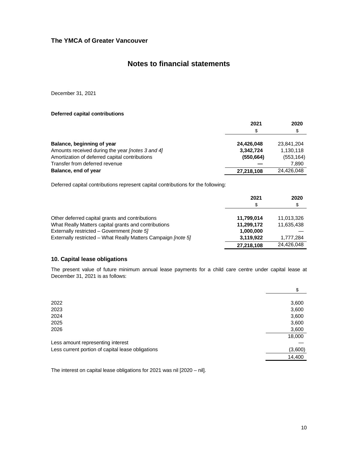# **Notes to financial statements**

December 31, 2021

#### **Deferred capital contributions**

|                                                  | 2021<br>\$ | 2020<br>\$ |
|--------------------------------------------------|------------|------------|
|                                                  |            |            |
| Balance, beginning of year                       | 24,426,048 | 23,841,204 |
| Amounts received during the year [notes 3 and 4] | 3,342,724  | 1,130,118  |
| Amortization of deferred capital contributions   | (550, 664) | (553, 164) |
| Transfer from deferred revenue                   |            | 7.890      |
| Balance, end of year                             | 27,218,108 | 24,426,048 |

Deferred capital contributions represent capital contributions for the following:

|                                                               | 2021<br>\$ | 2020<br>\$ |
|---------------------------------------------------------------|------------|------------|
| Other deferred capital grants and contributions               | 11,799,014 | 11,013,326 |
| What Really Matters capital grants and contributions          | 11,299,172 | 11,635,438 |
| Externally restricted – Government <i>[note 5]</i>            | 1,000,000  |            |
| Externally restricted – What Really Matters Campaign [note 5] | 3,119,922  | 1.777.284  |
|                                                               | 27,218,108 | 24.426.048 |

#### **10. Capital lease obligations**

The present value of future minimum annual lease payments for a child care centre under capital lease at December 31, 2021 is as follows:

|                                                   | \$      |
|---------------------------------------------------|---------|
| 2022                                              | 3,600   |
| 2023                                              | 3,600   |
| 2024                                              | 3,600   |
| 2025                                              | 3,600   |
| 2026                                              | 3,600   |
|                                                   | 18,000  |
| Less amount representing interest                 |         |
| Less current portion of capital lease obligations | (3,600) |
|                                                   | 14.400  |

The interest on capital lease obligations for 2021 was nil [2020 – nil].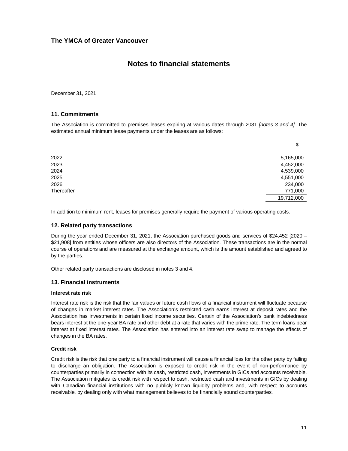December 31, 2021

#### **11. Commitments**

The Association is committed to premises leases expiring at various dates through 2031 *[notes 3 and 4]*. The estimated annual minimum lease payments under the leases are as follows:

|            | \$         |
|------------|------------|
|            |            |
| 2022       | 5,165,000  |
| 2023       | 4,452,000  |
| 2024       | 4,539,000  |
| 2025       | 4,551,000  |
| 2026       | 234,000    |
| Thereafter | 771,000    |
|            | 19,712,000 |

In addition to minimum rent, leases for premises generally require the payment of various operating costs.

#### **12. Related party transactions**

During the year ended December 31, 2021, the Association purchased goods and services of \$24,452 [2020 – \$21,908] from entities whose officers are also directors of the Association. These transactions are in the normal course of operations and are measured at the exchange amount, which is the amount established and agreed to by the parties.

Other related party transactions are disclosed in notes 3 and 4.

#### **13. Financial instruments**

#### **Interest rate risk**

Interest rate risk is the risk that the fair values or future cash flows of a financial instrument will fluctuate because of changes in market interest rates. The Association's restricted cash earns interest at deposit rates and the Association has investments in certain fixed income securities. Certain of the Association's bank indebtedness bears interest at the one-year BA rate and other debt at a rate that varies with the prime rate. The term loans bear interest at fixed interest rates. The Association has entered into an interest rate swap to manage the effects of changes in the BA rates.

#### **Credit risk**

Credit risk is the risk that one party to a financial instrument will cause a financial loss for the other party by failing to discharge an obligation. The Association is exposed to credit risk in the event of non-performance by counterparties primarily in connection with its cash, restricted cash, investments in GICs and accounts receivable. The Association mitigates its credit risk with respect to cash, restricted cash and investments in GICs by dealing with Canadian financial institutions with no publicly known liquidity problems and, with respect to accounts receivable, by dealing only with what management believes to be financially sound counterparties.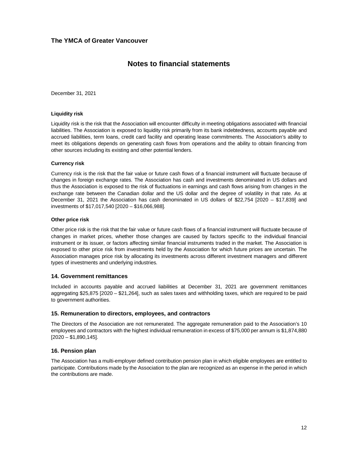December 31, 2021

#### **Liquidity risk**

Liquidity risk is the risk that the Association will encounter difficulty in meeting obligations associated with financial liabilities. The Association is exposed to liquidity risk primarily from its bank indebtedness, accounts payable and accrued liabilities, term loans, credit card facility and operating lease commitments. The Association's ability to meet its obligations depends on generating cash flows from operations and the ability to obtain financing from other sources including its existing and other potential lenders.

#### **Currency risk**

Currency risk is the risk that the fair value or future cash flows of a financial instrument will fluctuate because of changes in foreign exchange rates. The Association has cash and investments denominated in US dollars and thus the Association is exposed to the risk of fluctuations in earnings and cash flows arising from changes in the exchange rate between the Canadian dollar and the US dollar and the degree of volatility in that rate. As at December 31, 2021 the Association has cash denominated in US dollars of \$22,754 [2020 – \$17,839] and investments of \$17,017,540 [2020 – \$16,066,988].

#### **Other price risk**

Other price risk is the risk that the fair value or future cash flows of a financial instrument will fluctuate because of changes in market prices, whether those changes are caused by factors specific to the individual financial instrument or its issuer, or factors affecting similar financial instruments traded in the market. The Association is exposed to other price risk from investments held by the Association for which future prices are uncertain. The Association manages price risk by allocating its investments across different investment managers and different types of investments and underlying industries.

#### **14. Government remittances**

Included in accounts payable and accrued liabilities at December 31, 2021 are government remittances aggregating \$25,875 [2020 – \$21,264], such as sales taxes and withholding taxes, which are required to be paid to government authorities.

#### **15. Remuneration to directors, employees, and contractors**

The Directors of the Association are not remunerated. The aggregate remuneration paid to the Association's 10 employees and contractors with the highest individual remuneration in excess of \$75,000 per annum is \$1,874,880 [2020 – \$1,890,145].

#### **16. Pension plan**

The Association has a multi-employer defined contribution pension plan in which eligible employees are entitled to participate. Contributions made by the Association to the plan are recognized as an expense in the period in which the contributions are made.